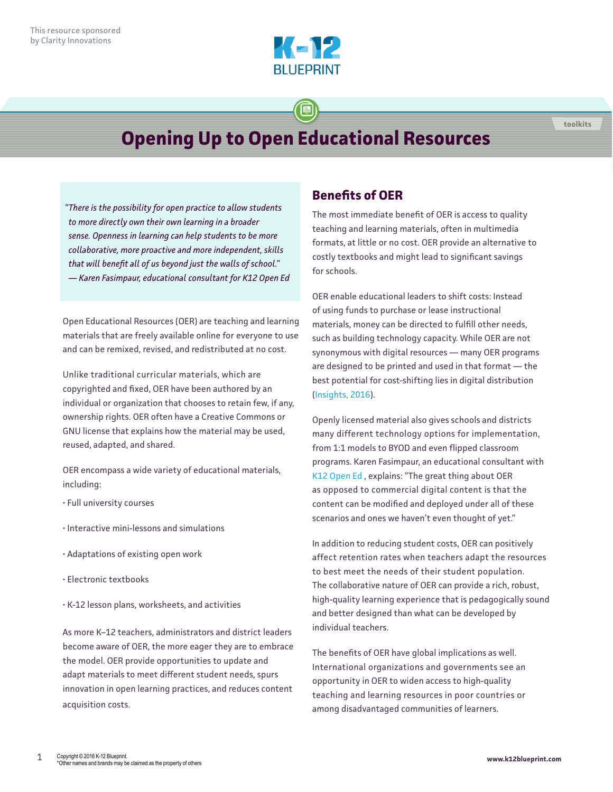

# **Opening Up to Open Educational Resources**

 *"There is the possibility for open practice to allow students to more directly own their own learning in a broader sense. Openness in learning can help students to be more collaborative, more proactive and more independent, skills that will benefit all of us beyond just the walls of school." — Karen Fasimpaur, educational consultant for K12 Open Ed*

Open Educational Resources (OER) are teaching and learning materials that are freely available online for everyone to use and can be remixed, revised, and redistributed at no cost.

Unlike traditional curricular materials, which are copyrighted and fixed, OER have been authored by an individual or organization that chooses to retain few, if any, ownership rights. OER often have a Creative Commons or GNU license that explains how the material may be used, reused, adapted, and shared.

OER encompass a wide variety of educational materials, including:

- Full university courses
- Interactive mini-lessons and simulations
- Adaptations of existing open work
- Electronic textbooks
- K-12 lesson plans, worksheets, and activities

As more K–12 teachers, administrators and district leaders become aware of OER, the more eager they are to embrace the model. OER provide opportunities to update and adapt materials to meet different student needs, spurs innovation in open learning practices, and reduces content acquisition costs.

## **Benefits of OER**

The most immediate benefit of OER is access to quality teaching and learning materials, often in multimedia formats, at little or no cost. OER provide an alternative to costly textbooks and might lead to significant savings for schools.

**toolkits**

OER enable educational leaders to shift costs: Instead of using funds to purchase or lease instructional materials, money can be directed to fulfill other needs, such as building technology capacity. While OER are not synonymous with digital resources — many OER programs are designed to be printed and used in that format — the best potential for cost-shifting lies in digital distribution ([Insights, 2016\)](https://insights.samsung.com/2016/03/03/open-source-textbooks-and-resources-are-poised-to-transform-k-12-education/).

Openly licensed material also gives schools and districts many different technology options for implementation, from 1:1 models to BYOD and even flipped classroom programs. Karen Fasimpaur, an educational consultant with [K12 Open Ed ,](http://www.k12opened.com/) explains: "The great thing about OER as opposed to commercial digital content is that the content can be modified and deployed under all of these scenarios and ones we haven't even thought of yet."

In addition to reducing student costs, OER can positively affect retention rates when teachers adapt the resources to best meet the needs of their student population. The collaborative nature of OER can provide a rich, robust, high-quality learning experience that is pedagogically sound and better designed than what can be developed by individual teachers.

The benefits of OER have global implications as well. International organizations and governments see an opportunity in OER to widen access to high-quality teaching and learning resources in poor countries or among disadvantaged communities of learners.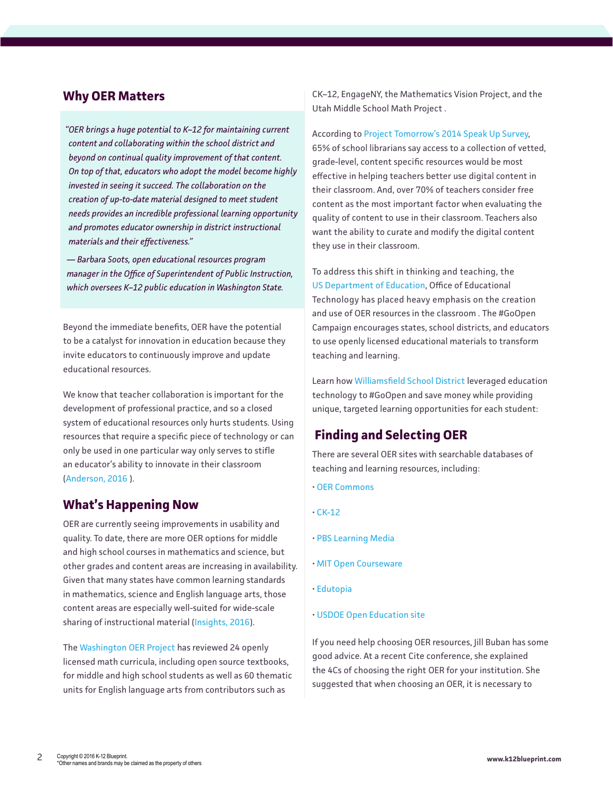#### **Why OER Matters**

 *"OER brings a huge potential to K–12 for maintaining current content and collaborating within the school district and beyond on continual quality improvement of that content. On top of that, educators who adopt the model become highly invested in seeing it succeed. The collaboration on the creation of up-to-date material designed to meet student needs provides an incredible professional learning opportunity and promotes educator ownership in district instructional materials and their effectiveness."* 

*— Barbara Soots, open educational resources program manager in the Office of Superintendent of Public Instruction, which oversees K–12 public education in Washington State.*

Beyond the immediate benefits, OER have the potential to be a catalyst for innovation in education because they invite educators to continuously improve and update educational resources.

We know that teacher collaboration is important for the development of professional practice, and so a closed system of educational resources only hurts students. Using resources that require a specific piece of technology or can only be used in one particular way only serves to stifle an educator's ability to innovate in their classroom ([Anderson, 2016](http://blog.web20classroom.org/2016/04/oermatters.html) ).

#### **What's Happening Now**

OER are currently seeing improvements in usability and quality. To date, there are more OER options for middle and high school courses in mathematics and science, but other grades and content areas are increasing in availability. Given that many states have common learning standards in mathematics, science and English language arts, those content areas are especially well-suited for wide-scale sharing of instructional material ([Insights, 2016\)](https://insights.samsung.com/2016/03/03/open-source-textbooks-and-resources-are-poised-to-transform-k-12-education/).

The [Washington OER Project](http://digitallearning.k12.wa.us/oer/library/) has reviewed 24 openly licensed math curricula, including open source textbooks, for middle and high school students as well as 60 thematic units for English language arts from contributors such as

CK–12, EngageNY, the Mathematics Vision Project, and the Utah Middle School Math Project .

According to [Project Tomorrow's 2014 Speak Up Survey,](http://www.tomorrow.org/speakup/speakup_data_findings.html) 65% of school librarians say access to a collection of vetted, grade-level, content specific resources would be most effective in helping teachers better use digital content in their classroom. And, over 70% of teachers consider free content as the most important factor when evaluating the quality of content to use in their classroom. Teachers also want the ability to curate and modify the digital content they use in their classroom.

To address this shift in thinking and teaching, the [US Department of Education,](http://tech.ed.gov/open-education/) Office of Educational Technology has placed heavy emphasis on the creation and use of OER resources in the classroom . The #GoOpen Campaign encourages states, school districts, and educators to use openly licensed educational materials to transform teaching and learning.

Learn how [Williamsfield School District](https://www.youtube.com/watch?v=QqaPWn6QPxM) leveraged education technology to #GoOpen and save money while providing unique, targeted learning opportunities for each student:

### **Finding and Selecting OER**

There are several OER sites with searchable databases of teaching and learning resources, including:

- [OER Commons](https://www.oercommons.org/)
- $\cdot$  [CK-12](http://www.ck12.org/)
- [PBS Learning Media](http://www.pbslearningmedia.org/)
- [MIT Open Courseware](https://ocw.mit.edu/index.htm)
- [Edutopia](http://www.edutopia.org/open-educational-resources-guide)
- [USDOE Open Education site](http://tech.ed.gov/open-education/)

If you need help choosing OER resources, Jill Buban has some good advice. At a recent Cite conference, she explained the 4Cs of choosing the right OER for your institution. She suggested that when choosing an OER, it is necessary to